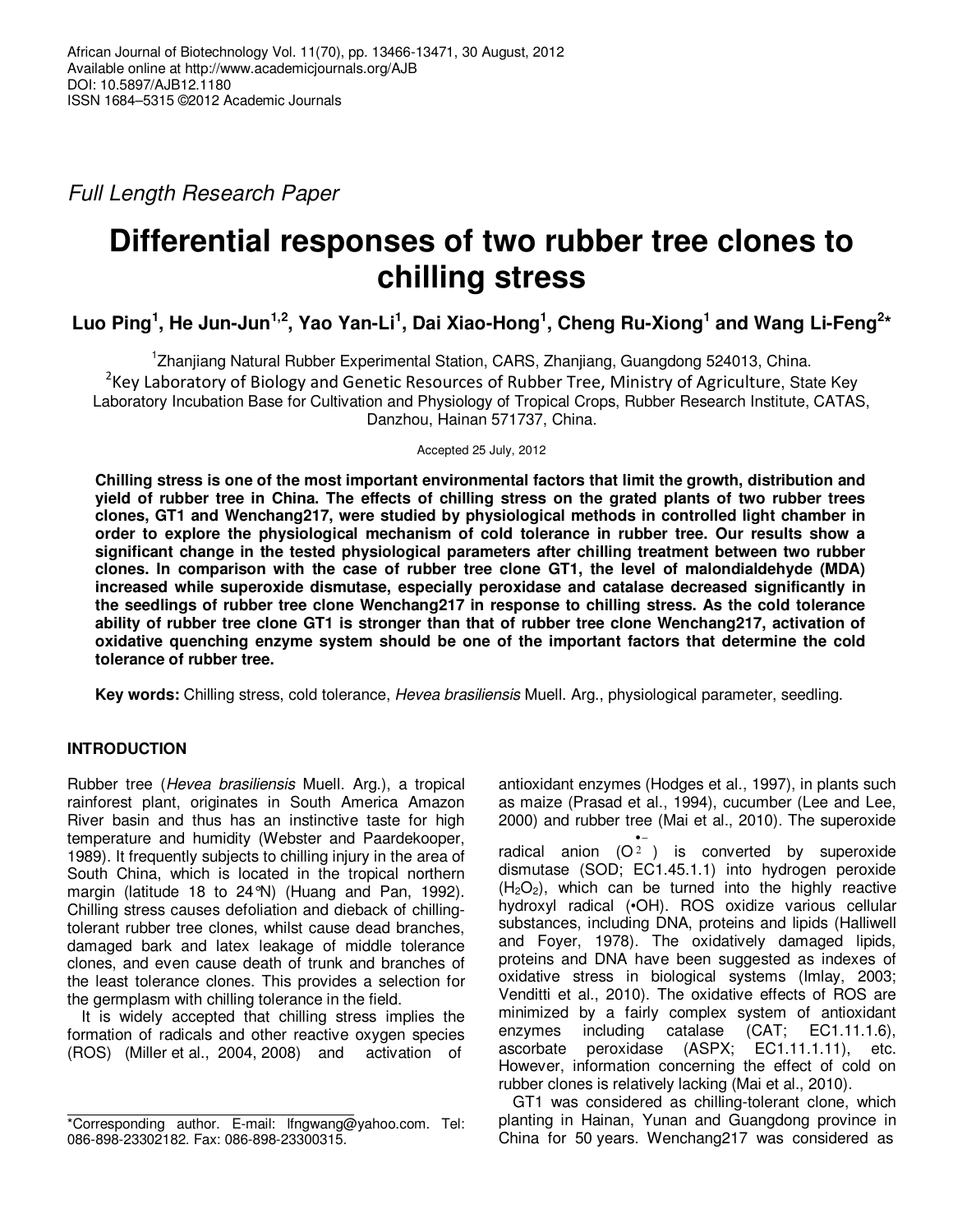Full Length Research Paper

# **Differential responses of two rubber tree clones to chilling stress**

**Luo Ping<sup>1</sup> , He Jun-Jun1,2, Yao Yan-Li<sup>1</sup> , Dai Xiao-Hong<sup>1</sup> , Cheng Ru-Xiong<sup>1</sup> and Wang Li-Feng<sup>2</sup> \***

1 Zhanjiang Natural Rubber Experimental Station, CARS, Zhanjiang, Guangdong 524013, China.  $^{2}$ Key Laboratory of Biology and Genetic Resources of Rubber Tree, Ministry of Agriculture, State Key Laboratory Incubation Base for Cultivation and Physiology of Tropical Crops, Rubber Research Institute, CATAS, Danzhou, Hainan 571737, China.

Accepted 25 July, 2012

**Chilling stress is one of the most important environmental factors that limit the growth, distribution and yield of rubber tree in China. The effects of chilling stress on the grated plants of two rubber trees clones, GT1 and Wenchang217, were studied by physiological methods in controlled light chamber in order to explore the physiological mechanism of cold tolerance in rubber tree. Our results show a significant change in the tested physiological parameters after chilling treatment between two rubber clones. In comparison with the case of rubber tree clone GT1, the level of malondialdehyde (MDA) increased while superoxide dismutase, especially peroxidase and catalase decreased significantly in the seedlings of rubber tree clone Wenchang217 in response to chilling stress. As the cold tolerance ability of rubber tree clone GT1 is stronger than that of rubber tree clone Wenchang217, activation of oxidative quenching enzyme system should be one of the important factors that determine the cold tolerance of rubber tree.** 

**Key words:** Chilling stress, cold tolerance, Hevea brasiliensis Muell. Arg., physiological parameter, seedling.

# **INTRODUCTION**

Rubber tree (Hevea brasiliensis Muell. Arg.), a tropical rainforest plant, originates in South America Amazon River basin and thus has an instinctive taste for high temperature and humidity (Webster and Paardekooper, 1989). It frequently subjects to chilling injury in the area of South China, which is located in the tropical northern margin (latitude 18 to 24°N) (Huang and Pan, 1992). Chilling stress causes defoliation and dieback of chillingtolerant rubber tree clones, whilst cause dead branches, damaged bark and latex leakage of middle tolerance clones, and even cause death of trunk and branches of the least tolerance clones. This provides a selection for the germplasm with chilling tolerance in the field.

It is widely accepted that chilling stress implies the formation of radicals and other reactive oxygen species (ROS) (Miller et al., 2004, 2008) and activation of

antioxidant enzymes (Hodges et al., 1997), in plants such as maize (Prasad et al., 1994), cucumber (Lee and Lee, 2000) and rubber tree (Mai et al., 2010). The superoxide

radical anion  $(O<sup>2</sup>)$  is converted by superoxide •− dismutase (SOD; EC1.45.1.1) into hydrogen peroxide  $(H<sub>2</sub>O<sub>2</sub>)$ , which can be turned into the highly reactive hydroxyl radical (•OH). ROS oxidize various cellular substances, including DNA, proteins and lipids (Halliwell and Foyer, 1978). The oxidatively damaged lipids, proteins and DNA have been suggested as indexes of oxidative stress in biological systems (Imlay, 2003; Venditti et al., 2010). The oxidative effects of ROS are minimized by a fairly complex system of antioxidant enzymes including catalase (CAT; EC1.11.1.6), ascorbate peroxidase (ASPX; EC1.11.1.11), etc. However, information concerning the effect of cold on rubber clones is relatively lacking (Mai et al., 2010).

GT1 was considered as chilling-tolerant clone, which planting in Hainan, Yunan and Guangdong province in China for 50 years. Wenchang217 was considered as

<sup>\*</sup>Corresponding author. E-mail: lfngwang@yahoo.com. Tel: 086-898-23302182. Fax: 086-898-23300315.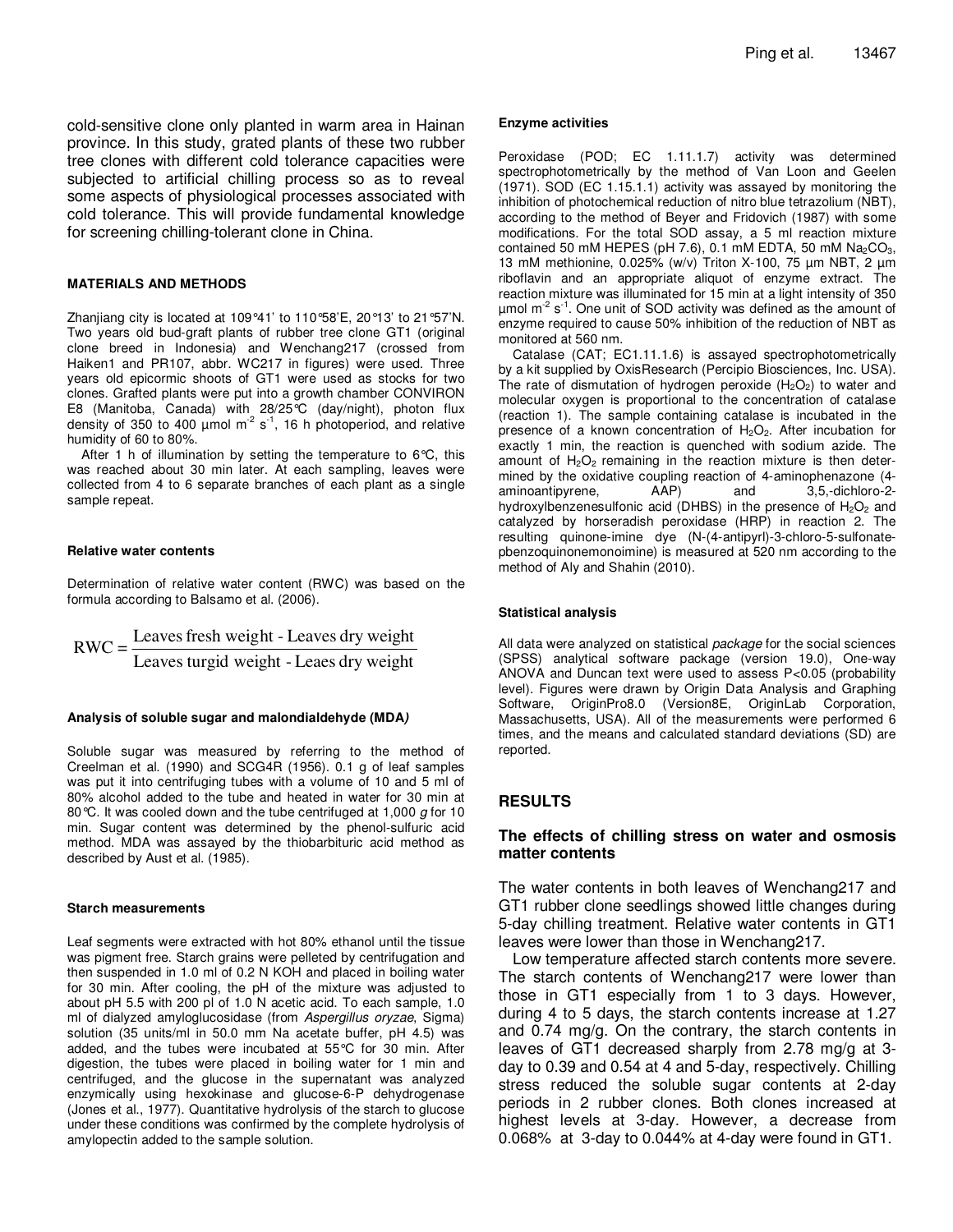cold-sensitive clone only planted in warm area in Hainan province. In this study, grated plants of these two rubber tree clones with different cold tolerance capacities were subjected to artificial chilling process so as to reveal some aspects of physiological processes associated with cold tolerance. This will provide fundamental knowledge for screening chilling-tolerant clone in China.

#### **MATERIALS AND METHODS**

Zhanjiang city is located at 109°41' to 110°58'E, 20°13' to 21°57'N. Two years old bud-graft plants of rubber tree clone GT1 (original clone breed in Indonesia) and Wenchang217 (crossed from Haiken1 and PR107, abbr. WC217 in figures) were used. Three years old epicormic shoots of GT1 were used as stocks for two clones. Grafted plants were put into a growth chamber CONVIRON E8 (Manitoba, Canada) with 28/25°C (day/night), photon flux density of 350 to 400  $\mu$ mol m<sup>-2</sup> s<sup>-1</sup>, 16 h photoperiod, and relative humidity of 60 to 80%.

After 1 h of illumination by setting the temperature to 6°C, this was reached about 30 min later. At each sampling, leaves were collected from 4 to 6 separate branches of each plant as a single sample repeat.

#### **Relative water contents**

Determination of relative water content (RWC) was based on the formula according to Balsamo et al. (2006).

Leaves turgid weight - Leaes dry weight  $RWC = \frac{Leaves fresh weight - Leaves dry weight$ 

#### **Analysis of soluble sugar and malondialdehyde (MDA)**

Soluble sugar was measured by referring to the method of Creelman et al. (1990) and SCG4R (1956). 0.1 g of leaf samples was put it into centrifuging tubes with a volume of 10 and 5 ml of 80% alcohol added to the tube and heated in water for 30 min at 80 °C. It was cooled down and the tube centrifuged at 1,000  $g$  for 10 min. Sugar content was determined by the phenol-sulfuric acid method. MDA was assayed by the thiobarbituric acid method as described by Aust et al. (1985).

#### **Starch measurements**

Leaf segments were extracted with hot 80% ethanol until the tissue was pigment free. Starch grains were pelleted by centrifugation and then suspended in 1.0 ml of 0.2 N KOH and placed in boiling water for 30 min. After cooling, the pH of the mixture was adjusted to about pH 5.5 with 200 pl of 1.0 N acetic acid. To each sample, 1.0 ml of dialyzed amyloglucosidase (from Aspergillus oryzae, Sigma) solution (35 units/ml in 50.0 mm Na acetate buffer, pH 4.5) was added, and the tubes were incubated at 55°C for 30 min. After digestion, the tubes were placed in boiling water for 1 min and centrifuged, and the glucose in the supernatant was analyzed enzymically using hexokinase and glucose-6-P dehydrogenase (Jones et al., 1977). Quantitative hydrolysis of the starch to glucose under these conditions was confirmed by the complete hydrolysis of amylopectin added to the sample solution.

#### **Enzyme activities**

Peroxidase (POD; EC 1.11.1.7) activity was determined spectrophotometrically by the method of Van Loon and Geelen (1971). SOD (EC 1.15.1.1) activity was assayed by monitoring the inhibition of photochemical reduction of nitro blue tetrazolium (NBT), according to the method of Beyer and Fridovich (1987) with some modifications. For the total SOD assay, a 5 ml reaction mixture contained 50 mM HEPES (pH 7.6), 0.1 mM EDTA, 50 mM  $Na<sub>2</sub>CO<sub>3</sub>$ , 13 mM methionine, 0.025% (w/v) Triton X-100, 75 µm NBT, 2 µm riboflavin and an appropriate aliquot of enzyme extract. The reaction mixture was illuminated for 15 min at a light intensity of 350  $\mu$ mol m<sup>-2</sup> s<sup>-1</sup>. One unit of SOD activity was defined as the amount of enzyme required to cause 50% inhibition of the reduction of NBT as monitored at 560 nm.

Catalase (CAT; EC1.11.1.6) is assayed spectrophotometrically by a kit supplied by OxisResearch (Percipio Biosciences, Inc. USA). The rate of dismutation of hydrogen peroxide  $(H_2O_2)$  to water and molecular oxygen is proportional to the concentration of catalase (reaction 1). The sample containing catalase is incubated in the presence of a known concentration of  $H_2O_2$ . After incubation for exactly 1 min, the reaction is quenched with sodium azide. The amount of  $H_2O_2$  remaining in the reaction mixture is then determined by the oxidative coupling reaction of 4-aminophenazone (4 aminoantipyrene, AAP) and 3,5,-dichloro-2 hydroxylbenzenesulfonic acid (DHBS) in the presence of  $H_2O_2$  and catalyzed by horseradish peroxidase (HRP) in reaction 2. The resulting quinone-imine dye (N-(4-antipyrl)-3-chloro-5-sulfonatepbenzoquinonemonoimine) is measured at 520 nm according to the method of Aly and Shahin (2010).

#### **Statistical analysis**

All data were analyzed on statistical package for the social sciences (SPSS) analytical software package (version 19.0), One-way ANOVA and Duncan text were used to assess P<0.05 (probability level). Figures were drawn by Origin Data Analysis and Graphing Software, OriginPro8.0 (Version8E, OriginLab Corporation, Massachusetts, USA). All of the measurements were performed 6 times, and the means and calculated standard deviations (SD) are reported.

## **RESULTS**

## **The effects of chilling stress on water and osmosis matter contents**

The water contents in both leaves of Wenchang217 and GT1 rubber clone seedlings showed little changes during 5-day chilling treatment. Relative water contents in GT1 leaves were lower than those in Wenchang217.

Low temperature affected starch contents more severe. The starch contents of Wenchang217 were lower than those in GT1 especially from 1 to 3 days. However, during 4 to 5 days, the starch contents increase at 1.27 and 0.74 mg/g. On the contrary, the starch contents in leaves of GT1 decreased sharply from 2.78 mg/g at 3 day to 0.39 and 0.54 at 4 and 5-day, respectively. Chilling stress reduced the soluble sugar contents at 2-day periods in 2 rubber clones. Both clones increased at highest levels at 3-day. However, a decrease from 0.068% at 3-day to 0.044% at 4-day were found in GT1.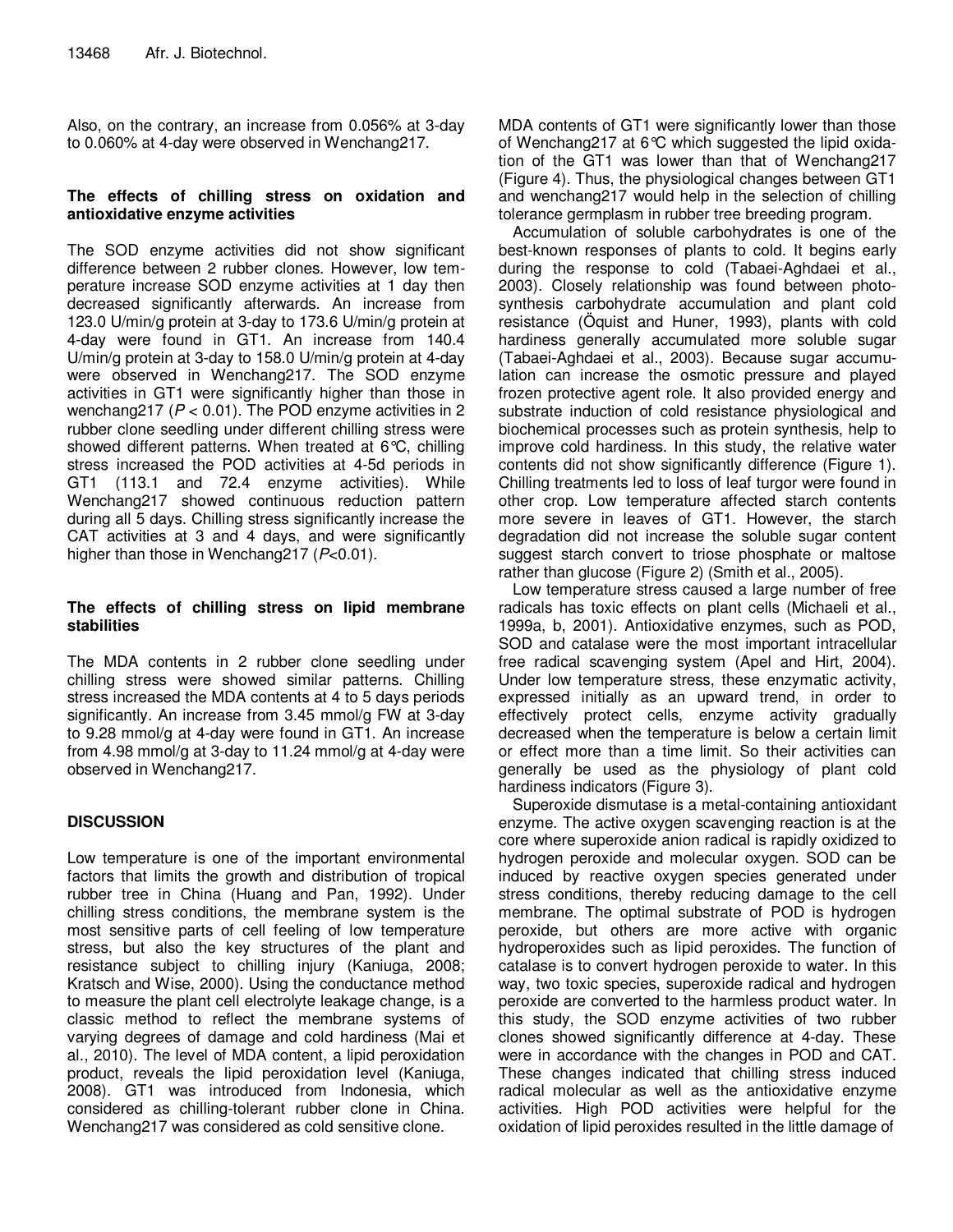Also, on the contrary, an increase from 0.056% at 3-day to 0.060% at 4-day were observed in Wenchang217.

# **The effects of chilling stress on oxidation and antioxidative enzyme activities**

The SOD enzyme activities did not show significant difference between 2 rubber clones. However, low temperature increase SOD enzyme activities at 1 day then decreased significantly afterwards. An increase from 123.0 U/min/g protein at 3-day to 173.6 U/min/g protein at 4-day were found in GT1. An increase from 140.4 U/min/g protein at 3-day to 158.0 U/min/g protein at 4-day were observed in Wenchang217. The SOD enzyme activities in GT1 were significantly higher than those in wenchang217 ( $P < 0.01$ ). The POD enzyme activities in 2 rubber clone seedling under different chilling stress were showed different patterns. When treated at 6°C, chilling stress increased the POD activities at 4-5d periods in GT1 (113.1 and 72.4 enzyme activities). While Wenchang217 showed continuous reduction pattern during all 5 days. Chilling stress significantly increase the CAT activities at 3 and 4 days, and were significantly higher than those in Wenchang217 (P<0.01).

# **The effects of chilling stress on lipid membrane stabilities**

The MDA contents in 2 rubber clone seedling under chilling stress were showed similar patterns. Chilling stress increased the MDA contents at 4 to 5 days periods significantly. An increase from 3.45 mmol/g FW at 3-day to 9.28 mmol/g at 4-day were found in GT1. An increase from 4.98 mmol/g at 3-day to 11.24 mmol/g at 4-day were observed in Wenchang217.

# **DISCUSSION**

Low temperature is one of the important environmental factors that limits the growth and distribution of tropical rubber tree in China (Huang and Pan, 1992). Under chilling stress conditions, the membrane system is the most sensitive parts of cell feeling of low temperature stress, but also the key structures of the plant and resistance subject to chilling injury (Kaniuga, 2008; Kratsch and Wise, 2000). Using the conductance method to measure the plant cell electrolyte leakage change, is a classic method to reflect the membrane systems of varying degrees of damage and cold hardiness (Mai et al., 2010). The level of MDA content, a lipid peroxidation product, reveals the lipid peroxidation level (Kaniuga, 2008). GT1 was introduced from Indonesia, which considered as chilling-tolerant rubber clone in China. Wenchang217 was considered as cold sensitive clone.

MDA contents of GT1 were significantly lower than those of Wenchang217 at 6°C which suggested the lipid oxidation of the GT1 was lower than that of Wenchang217 (Figure 4). Thus, the physiological changes between GT1 and wenchang217 would help in the selection of chilling tolerance germplasm in rubber tree breeding program.

Accumulation of soluble carbohydrates is one of the best-known responses of plants to cold. It begins early during the response to cold (Tabaei-Aghdaei et al., 2003). Closely relationship was found between photosynthesis carbohydrate accumulation and plant cold resistance (Öquist and Huner, 1993), plants with cold hardiness generally accumulated more soluble sugar (Tabaei-Aghdaei et al., 2003). Because sugar accumulation can increase the osmotic pressure and played frozen protective agent role. It also provided energy and substrate induction of cold resistance physiological and biochemical processes such as protein synthesis, help to improve cold hardiness. In this study, the relative water contents did not show significantly difference (Figure 1). Chilling treatments led to loss of leaf turgor were found in other crop. Low temperature affected starch contents more severe in leaves of GT1. However, the starch degradation did not increase the soluble sugar content suggest starch convert to triose phosphate or maltose rather than glucose (Figure 2) (Smith et al., 2005).

Low temperature stress caused a large number of free radicals has toxic effects on plant cells (Michaeli et al., 1999a, b, 2001). Antioxidative enzymes, such as POD, SOD and catalase were the most important intracellular free radical scavenging system (Apel and Hirt, 2004). Under low temperature stress, these enzymatic activity, expressed initially as an upward trend, in order to effectively protect cells, enzyme activity gradually decreased when the temperature is below a certain limit or effect more than a time limit. So their activities can generally be used as the physiology of plant cold hardiness indicators (Figure 3).

Superoxide dismutase is a metal-containing antioxidant enzyme. The active oxygen scavenging reaction is at the core where superoxide anion radical is rapidly oxidized to hydrogen peroxide and molecular oxygen. SOD can be induced by reactive oxygen species generated under stress conditions, thereby reducing damage to the cell membrane. The optimal substrate of POD is hydrogen peroxide, but others are more active with organic hydroperoxides such as lipid peroxides. The function of catalase is to convert hydrogen peroxide to water. In this way, two toxic species, superoxide radical and hydrogen peroxide are converted to the harmless product water. In this study, the SOD enzyme activities of two rubber clones showed significantly difference at 4-day. These were in accordance with the changes in POD and CAT. These changes indicated that chilling stress induced radical molecular as well as the antioxidative enzyme activities. High POD activities were helpful for the oxidation of lipid peroxides resulted in the little damage of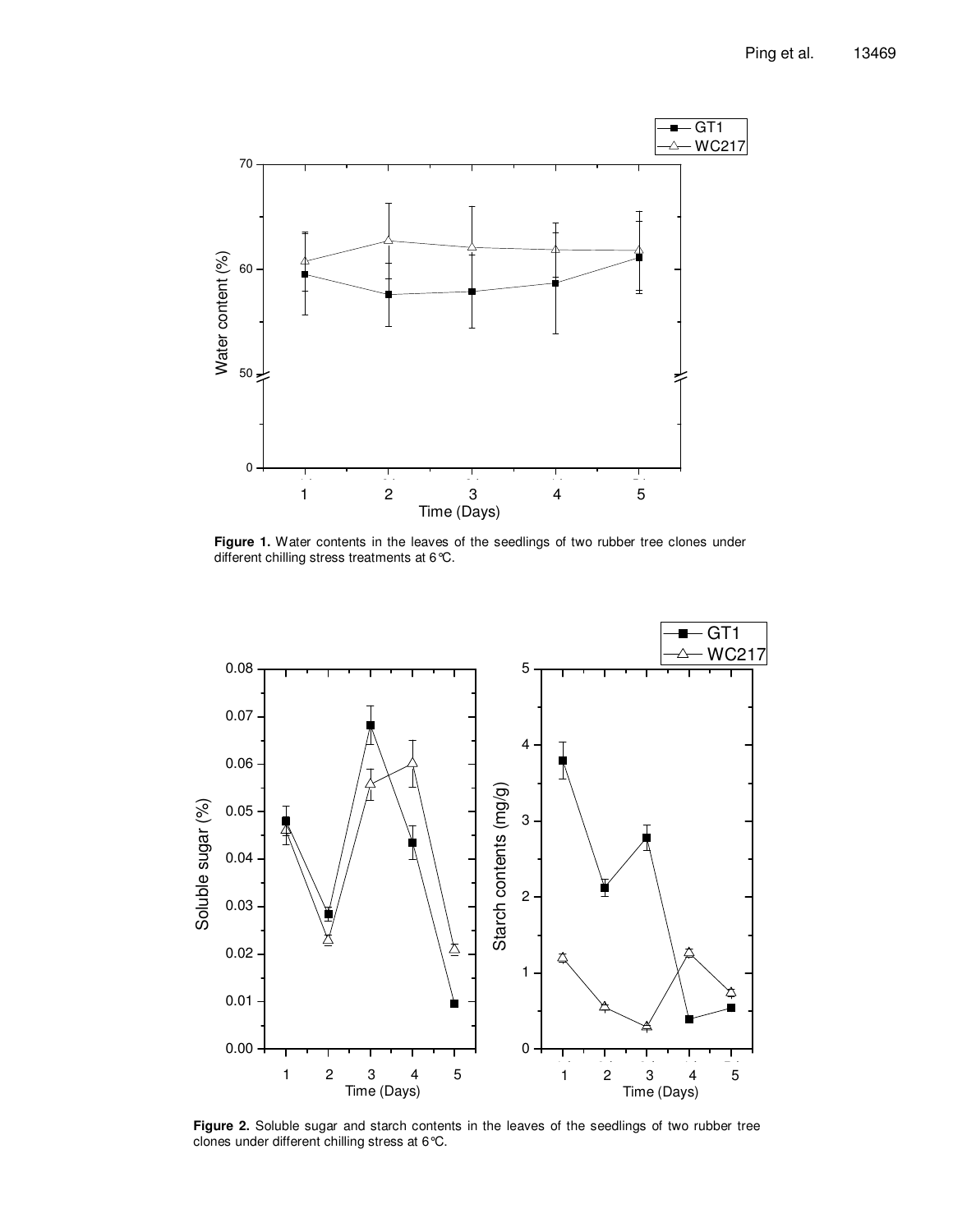

**Figure 1.** Water contents in the leaves of the seedlings of two rubber tree clones under different chilling stress treatments at 6°C.



**Figure 2.** Soluble sugar and starch contents in the leaves of the seedlings of two rubber tree clones under different chilling stress at 6°C.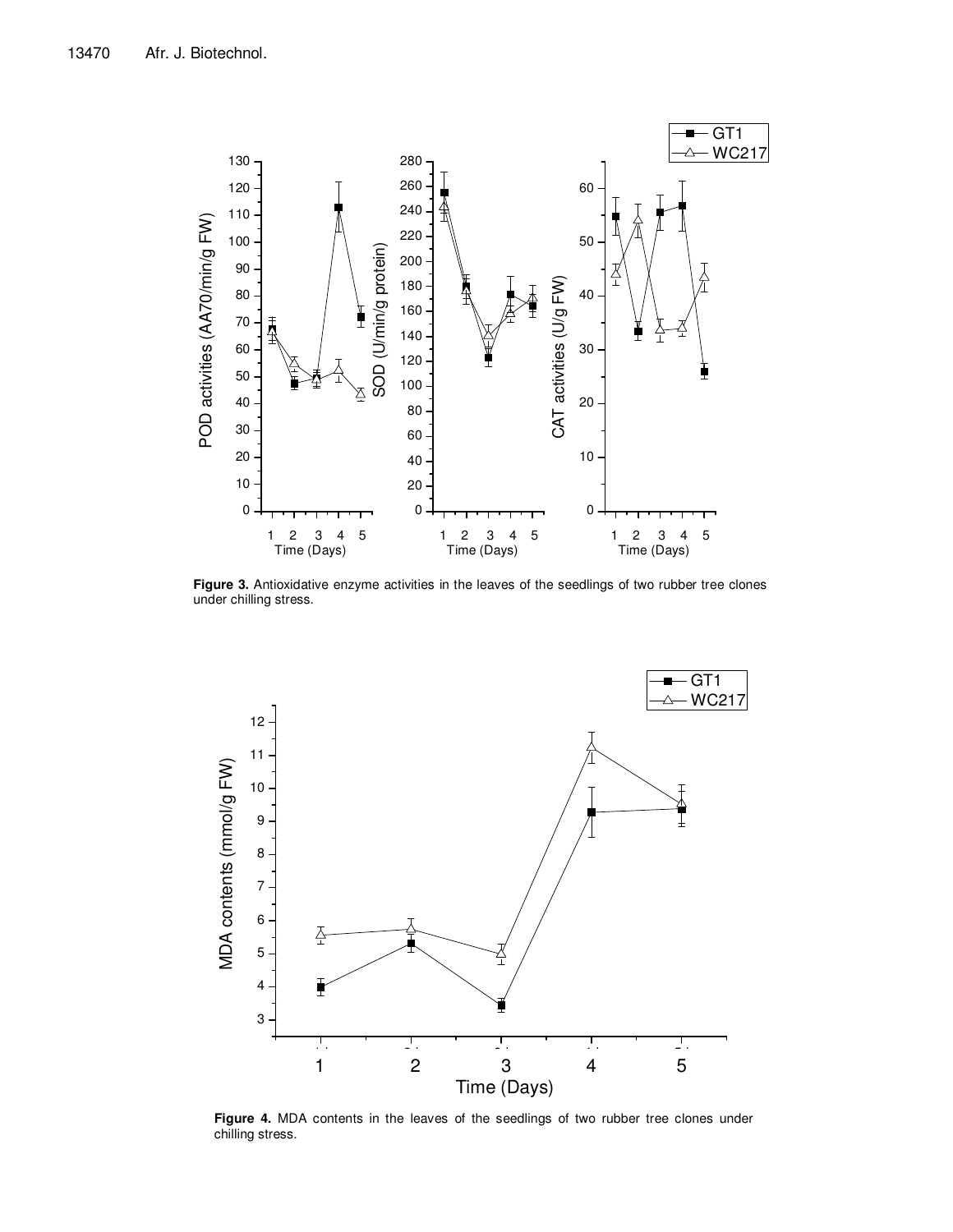

Figure 3. Antioxidative enzyme activities in the leaves of the seedlings of two rubber tree clones under chilling stress.



**Figure 4.** MDA contents in the leaves of the seedlings of two rubber tree clones under chilling stress.